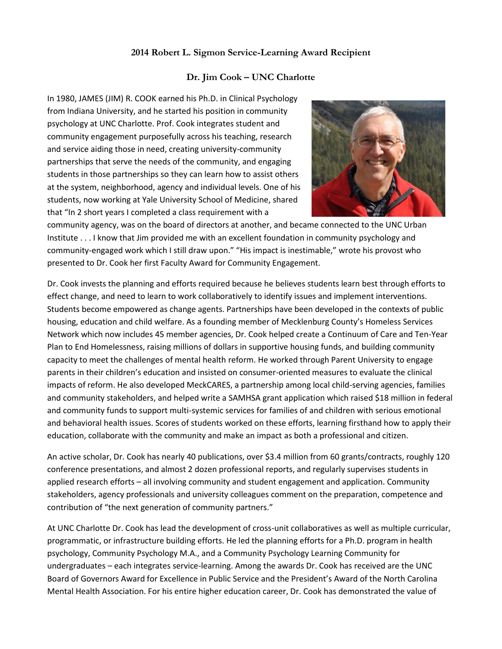## **2014 Robert L. Sigmon Service-Learning Award Recipient**

## **Dr. Jim Cook – UNC Charlotte**

In 1980, JAMES (JIM) R. COOK earned his Ph.D. in Clinical Psychology from Indiana University, and he started his position in community psychology at UNC Charlotte. Prof. Cook integrates student and community engagement purposefully across his teaching, research and service aiding those in need, creating university-community partnerships that serve the needs of the community, and engaging students in those partnerships so they can learn how to assist others at the system, neighborhood, agency and individual levels. One of his students, now working at Yale University School of Medicine, shared that "In 2 short years I completed a class requirement with a



community agency, was on the board of directors at another, and became connected to the UNC Urban Institute . . . I know that Jim provided me with an excellent foundation in community psychology and community-engaged work which I still draw upon." "His impact is inestimable," wrote his provost who presented to Dr. Cook her first Faculty Award for Community Engagement.

Dr. Cook invests the planning and efforts required because he believes students learn best through efforts to effect change, and need to learn to work collaboratively to identify issues and implement interventions. Students become empowered as change agents. Partnerships have been developed in the contexts of public housing, education and child welfare. As a founding member of Mecklenburg County's Homeless Services Network which now includes 45 member agencies, Dr. Cook helped create a Continuum of Care and Ten-Year Plan to End Homelessness, raising millions of dollars in supportive housing funds, and building community capacity to meet the challenges of mental health reform. He worked through Parent University to engage parents in their children's education and insisted on consumer-oriented measures to evaluate the clinical impacts of reform. He also developed MeckCARES, a partnership among local child-serving agencies, families and community stakeholders, and helped write a SAMHSA grant application which raised \$18 million in federal and community funds to support multi-systemic services for families of and children with serious emotional and behavioral health issues. Scores of students worked on these efforts, learning firsthand how to apply their education, collaborate with the community and make an impact as both a professional and citizen.

An active scholar, Dr. Cook has nearly 40 publications, over \$3.4 million from 60 grants/contracts, roughly 120 conference presentations, and almost 2 dozen professional reports, and regularly supervises students in applied research efforts – all involving community and student engagement and application. Community stakeholders, agency professionals and university colleagues comment on the preparation, competence and contribution of "the next generation of community partners."

At UNC Charlotte Dr. Cook has lead the development of cross-unit collaboratives as well as multiple curricular, programmatic, or infrastructure building efforts. He led the planning efforts for a Ph.D. program in health psychology, Community Psychology M.A., and a Community Psychology Learning Community for undergraduates – each integrates service-learning. Among the awards Dr. Cook has received are the UNC Board of Governors Award for Excellence in Public Service and the President's Award of the North Carolina Mental Health Association. For his entire higher education career, Dr. Cook has demonstrated the value of